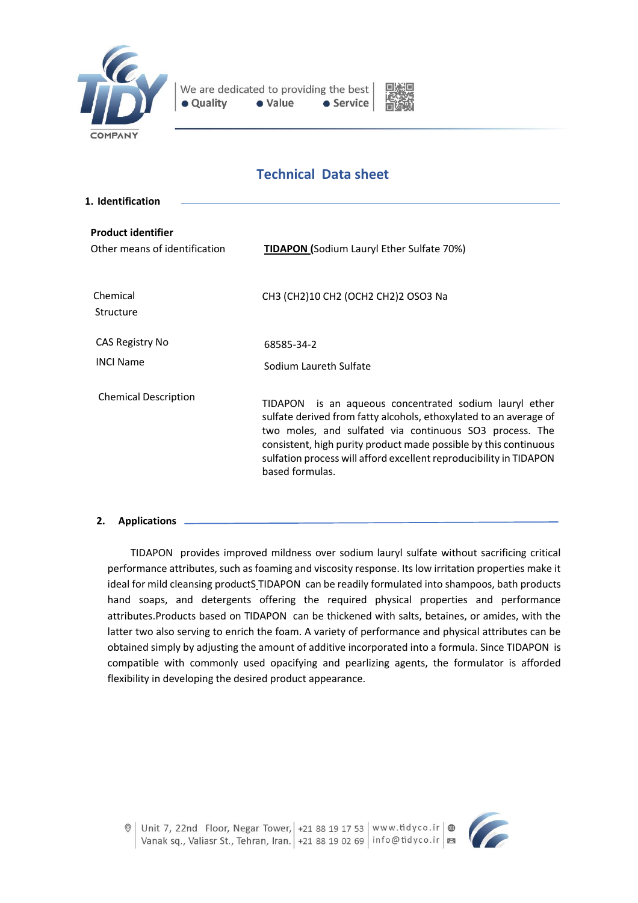



# **Technical Data sheet**

| 1. Identification                                          |                                                                                                                                                                                                                                                                                                                                                        |
|------------------------------------------------------------|--------------------------------------------------------------------------------------------------------------------------------------------------------------------------------------------------------------------------------------------------------------------------------------------------------------------------------------------------------|
| <b>Product identifier</b><br>Other means of identification | <b>TIDAPON (Sodium Lauryl Ether Sulfate 70%)</b>                                                                                                                                                                                                                                                                                                       |
| Chemical<br>Structure                                      | CH3 (CH2)10 CH2 (OCH2 CH2)2 OSO3 Na                                                                                                                                                                                                                                                                                                                    |
| CAS Registry No<br><b>INCI Name</b>                        | 68585-34-2<br>Sodium Laureth Sulfate                                                                                                                                                                                                                                                                                                                   |
| <b>Chemical Description</b>                                | is an aqueous concentrated sodium lauryl ether<br>TIDAPON<br>sulfate derived from fatty alcohols, ethoxylated to an average of<br>two moles, and sulfated via continuous SO3 process. The<br>consistent, high purity product made possible by this continuous<br>sulfation process will afford excellent reproducibility in TIDAPON<br>based formulas. |

#### **2. Applications**

TIDAPON provides improved mildness over sodium lauryl sulfate without sacrificing critical performance attributes, such as foaming and viscosity response. Its low irritation properties make it ideal for mild cleansing productS TIDAPON can be readily formulated into shampoos, bath products hand soaps, and detergents offering the required physical properties and performance attributes.Products based on TIDAPON can be thickened with salts, betaines, or amides, with the latter two also serving to enrich the foam. A variety of performance and physical attributes can be obtained simply by adjusting the amount of additive incorporated into a formula. Since TIDAPON is compatible with commonly used opacifying and pearlizing agents, the formulator is afforded flexibility in developing the desired product appearance.

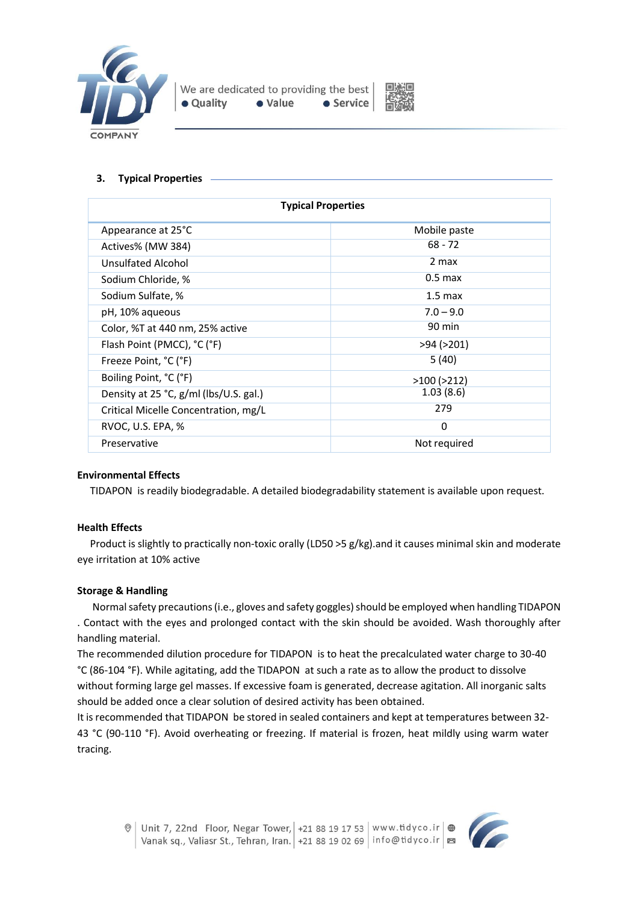



#### **3. Typical Properties**

| <b>Typical Properties</b>              |                   |  |
|----------------------------------------|-------------------|--|
| Appearance at 25°C                     | Mobile paste      |  |
| Actives% (MW 384)                      | $68 - 72$         |  |
| Unsulfated Alcohol                     | 2 max             |  |
| Sodium Chloride, %                     | $0.5$ max         |  |
| Sodium Sulfate, %                      | $1.5 \text{ max}$ |  |
| pH, 10% aqueous                        | $7.0 - 9.0$       |  |
| Color, %T at 440 nm, 25% active        | 90 min            |  |
| Flash Point (PMCC), °C (°F)            | $>94$ ( $>201$ )  |  |
| Freeze Point, °C (°F)                  | 5(40)             |  |
| Boiling Point, °C (°F)                 | $>100$ ( $>212$ ) |  |
| Density at 25 °C, g/ml (lbs/U.S. gal.) | 1.03(8.6)         |  |
| Critical Micelle Concentration, mg/L   | 279               |  |
| RVOC, U.S. EPA, %                      | $\Omega$          |  |
| Preservative                           | Not required      |  |

#### **Environmental Effects**

TIDAPON is readily biodegradable. A detailed biodegradability statement is available upon request.

#### **Health Effects**

Product is slightly to practically non-toxic orally (LD50 >5 g/kg).and it causes minimal skin and moderate eye irritation at 10% active

#### **Storage & Handling**

Normal safety precautions (i.e., gloves and safety goggles) should be employed when handling TIDAPON . Contact with the eyes and prolonged contact with the skin should be avoided. Wash thoroughly after handling material.

The recommended dilution procedure for TIDAPON is to heat the precalculated water charge to 30-40 °C (86-104 °F). While agitating, add the TIDAPON at such a rate as to allow the product to dissolve without forming large gel masses. If excessive foam is generated, decrease agitation. All inorganic salts should be added once a clear solution of desired activity has been obtained.

It is recommended that TIDAPON be stored in sealed containers and kept at temperatures between 32- 43 °C (90-110 °F). Avoid overheating or freezing. If material is frozen, heat mildly using warm water tracing.